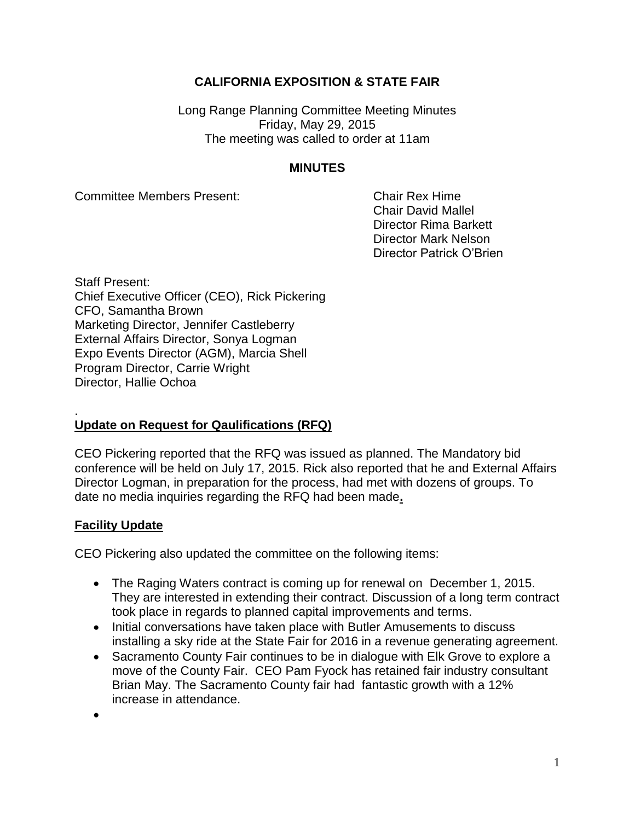# **CALIFORNIA EXPOSITION & STATE FAIR**

Long Range Planning Committee Meeting Minutes Friday, May 29, 2015 The meeting was called to order at 11am

### **MINUTES**

Committee Members Present: Chair Rex Hime

Chair David Mallel Director Rima Barkett Director Mark Nelson Director Patrick O'Brien

Staff Present: Chief Executive Officer (CEO), Rick Pickering CFO, Samantha Brown Marketing Director, Jennifer Castleberry External Affairs Director, Sonya Logman Expo Events Director (AGM), Marcia Shell Program Director, Carrie Wright Director, Hallie Ochoa

#### . **Update on Request for Qaulifications (RFQ)**

CEO Pickering reported that the RFQ was issued as planned. The Mandatory bid conference will be held on July 17, 2015. Rick also reported that he and External Affairs Director Logman, in preparation for the process, had met with dozens of groups. To date no media inquiries regarding the RFQ had been made**.**

### **Facility Update**

CEO Pickering also updated the committee on the following items:

- The Raging Waters contract is coming up for renewal on December 1, 2015. They are interested in extending their contract. Discussion of a long term contract took place in regards to planned capital improvements and terms.
- Initial conversations have taken place with Butler Amusements to discuss installing a sky ride at the State Fair for 2016 in a revenue generating agreement.
- Sacramento County Fair continues to be in dialogue with Elk Grove to explore a move of the County Fair. CEO Pam Fyock has retained fair industry consultant Brian May. The Sacramento County fair had fantastic growth with a 12% increase in attendance.

 $\bullet$